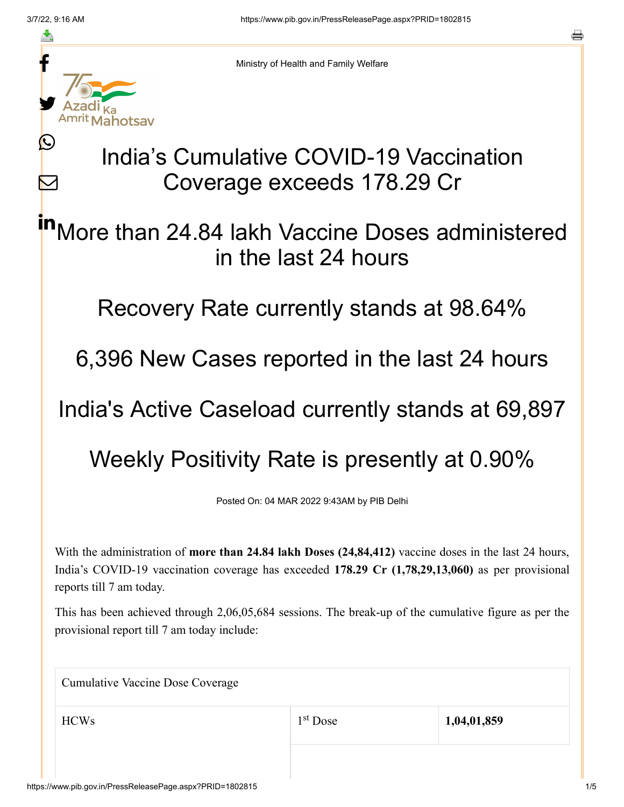≛

 $\mathbf{\Omega}$ 

 $\bm{\nabla}$ 

Ministry of Health and Family Welfare

## India's Cumulative COVID-19 Vaccination Coverage exceeds 178.29 Cr

More than 24.84 lakh Vaccine Doses administered in the last 24 hours in

Recovery Rate currently stands at 98.64%

6,396 New Cases reported in the last 24 hours

India's Active Caseload currently stands at 69,897

## Weekly Positivity Rate is presently at 0.90%

Posted On: 04 MAR 2022 9:43AM by PIB Delhi

With the administration of **more than 24.84 lakh Doses (24,84,412)** vaccine doses in the last 24 hours, India's COVID-19 vaccination coverage has exceeded **178.29 Cr (1,78,29,13,060)** as per provisional reports till 7 am today.

This has been achieved through 2,06,05,684 sessions. The break-up of the cumulative figure as per the provisional report till 7 am today include:

Cumulative Vaccine Dose Coverage

HCWs 1<sup>st</sup> Dose 1,04,01,859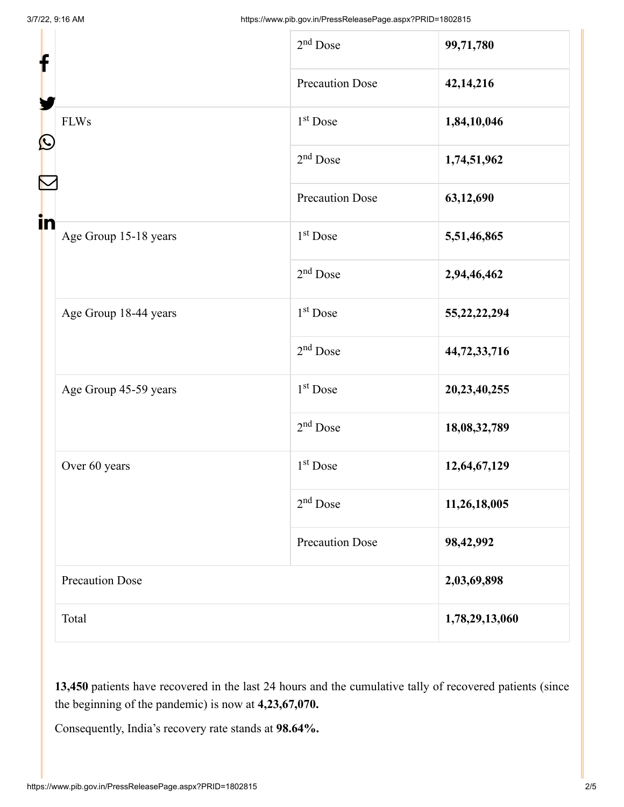| f<br>$\mathbf{\Omega}$<br>in |                        |                        |                 |
|------------------------------|------------------------|------------------------|-----------------|
|                              |                        | $2nd$ Dose             | 99,71,780       |
|                              |                        | <b>Precaution Dose</b> | 42,14,216       |
|                              | <b>FLWs</b>            | 1 <sup>st</sup> Dose   | 1,84,10,046     |
|                              |                        | $2nd$ Dose             | 1,74,51,962     |
|                              |                        | <b>Precaution Dose</b> | 63,12,690       |
|                              | Age Group 15-18 years  | $1st$ Dose             | 5,51,46,865     |
|                              |                        | $2nd$ Dose             | 2,94,46,462     |
|                              | Age Group 18-44 years  | 1 <sup>st</sup> Dose   | 55, 22, 22, 294 |
|                              |                        | $2nd$ Dose             | 44,72,33,716    |
|                              | Age Group 45-59 years  | $1st$ Dose             | 20,23,40,255    |
|                              |                        | $2nd$ Dose             | 18,08,32,789    |
|                              | Over 60 years          | $1st$ Dose             | 12,64,67,129    |
|                              |                        | $2nd$ Dose             | 11,26,18,005    |
|                              |                        | <b>Precaution Dose</b> | 98,42,992       |
|                              | <b>Precaution Dose</b> |                        | 2,03,69,898     |
|                              | Total                  |                        | 1,78,29,13,060  |
|                              |                        |                        |                 |

**13,450** patients have recovered in the last 24 hours and the cumulative tally of recovered patients (since the beginning of the pandemic) is now at **4,23,67,070.**

Consequently, India's recovery rate stands at **98.64%.**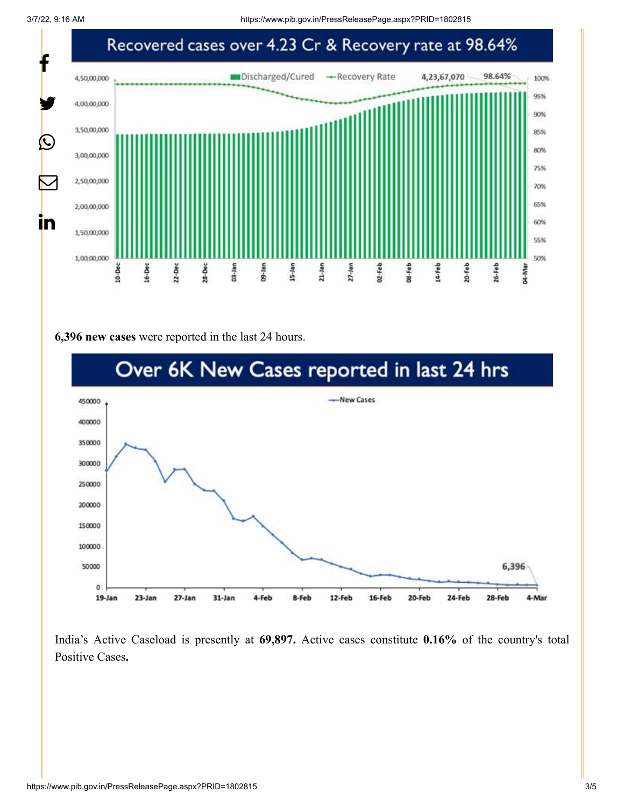3/7/22, 9:16 AM https://www.pib.gov.in/PressReleasePage.aspx?PRID=1802815



**6,396 new cases** were reported in the last 24 hours.



India's Active Caseload is presently at **69,897.** Active cases constitute **0.16%** of the country's total Positive Cases**.**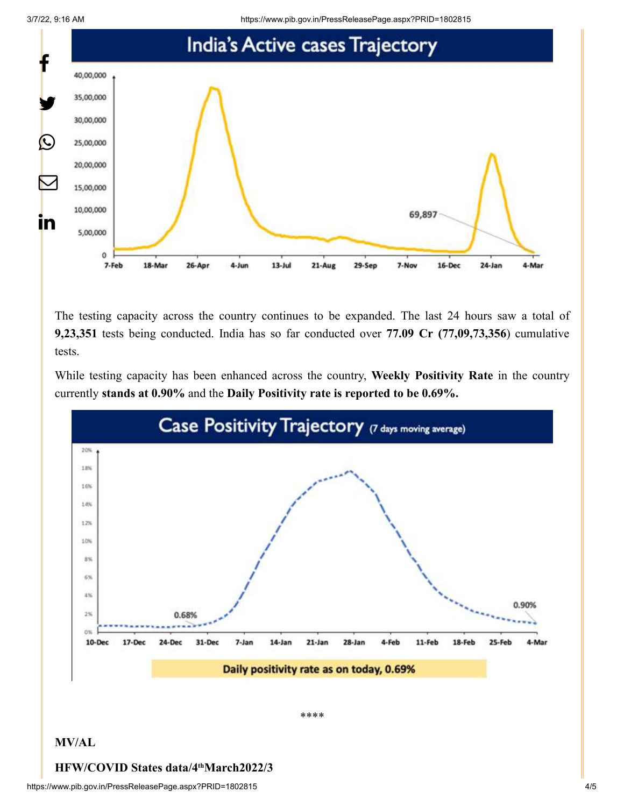3/7/22, 9:16 AM https://www.pib.gov.in/PressReleasePage.aspx?PRID=1802815



The testing capacity across the country continues to be expanded. The last 24 hours saw a total of **9,23,351** tests being conducted. India has so far conducted over **77.09 Cr (77,09,73,356**) cumulative tests.

While testing capacity has been enhanced across the country, **Weekly Positivity Rate** in the country currently **stands at 0.90%** and the **Daily Positivity rate is reported to be 0.69%.**



## **HFW/COVID States data/4 March2022/3 th**